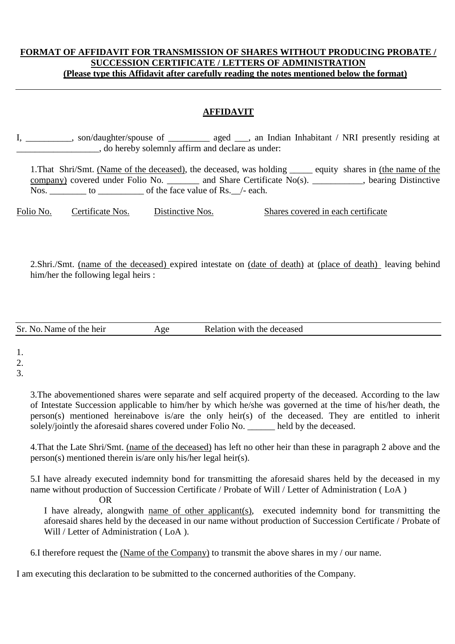## **FORMAT OF AFFIDAVIT FOR TRANSMISSION OF SHARES WITHOUT PRODUCING PROBATE / SUCCESSION CERTIFICATE / LETTERS OF ADMINISTRATION (Please type this Affidavit after carefully reading the notes mentioned below the format)**

## **AFFIDAVIT**

I, son/daughter/spouse of aged aged aged  $\mu$ , an Indian Inhabitant / NRI presently residing at \_\_\_\_\_\_\_\_\_\_\_\_\_\_\_\_\_\_, do hereby solemnly affirm and declare as under:

1.That Shri/Smt. (Name of the deceased), the deceased, was holding \_\_\_\_\_ equity shares in (the name of the company) covered under Folio No. \_\_\_\_\_\_\_ and Share Certificate No(s). \_\_\_\_\_\_\_\_\_\_\_, bearing Distinctive Nos. to to contract the face value of Rs. /- each.

Folio No. Certificate Nos. Distinctive Nos. Shares covered in each certificate

2.Shri./Smt. (name of the deceased) expired intestate on (date of death) at (place of death) leaving behind him/her the following legal heirs :

| Sr. No.<br>Name of the heir.<br>Age | Relation with the deceased |  |
|-------------------------------------|----------------------------|--|
|-------------------------------------|----------------------------|--|

1.

2.

3.

3.The abovementioned shares were separate and self acquired property of the deceased. According to the law of Intestate Succession applicable to him/her by which he/she was governed at the time of his/her death, the person(s) mentioned hereinabove is/are the only heir(s) of the deceased. They are entitled to inherit solely/jointly the aforesaid shares covered under Folio No. \_\_\_\_\_\_ held by the deceased.

4.That the Late Shri/Smt. (name of the deceased) has left no other heir than these in paragraph 2 above and the person(s) mentioned therein is/are only his/her legal heir(s).

5.I have already executed indemnity bond for transmitting the aforesaid shares held by the deceased in my name without production of Succession Certificate / Probate of Will / Letter of Administration ( LoA ) OR

I have already, alongwith name of other applicant(s), executed indemnity bond for transmitting the aforesaid shares held by the deceased in our name without production of Succession Certificate / Probate of Will / Letter of Administration (LoA).

6.I therefore request the (Name of the Company) to transmit the above shares in my / our name.

I am executing this declaration to be submitted to the concerned authorities of the Company.